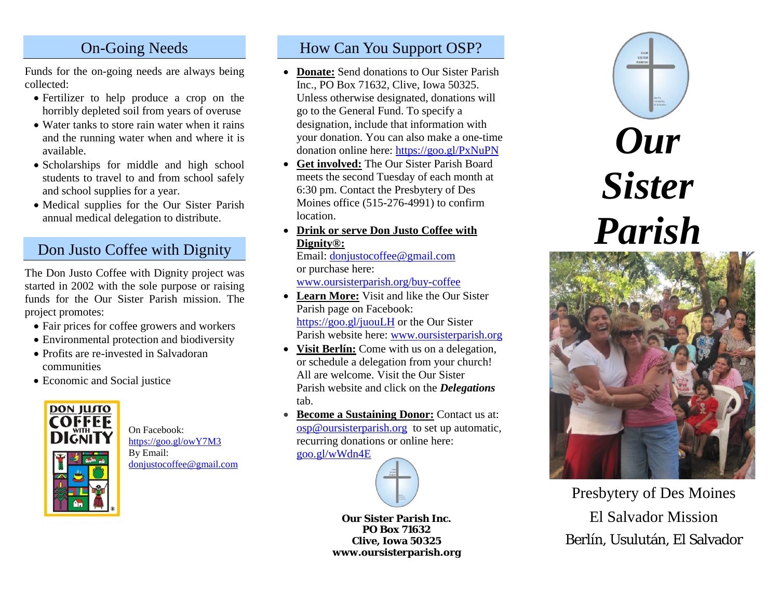## On-Going Needs

Funds for the on-going needs are always being collected:

- Fertilizer to help produce a crop on the horribly depleted soil from years of overuse
- Water tanks to store rain water when it rains and the running water when and where it is available.
- Scholarships for middle and high school students to travel to and from school safely and school supplies for a year.
- Medical supplies for the Our Sister Parish annual medical delegation to distribute.

# Don Justo Coffee with Dignity

The Don Justo Coffee with Dignity project was started in 2002 with the sole purpose or raising funds for the Our Sister Parish mission. The project promotes:

- Fair prices for coffee growers and workers
- Environmental protection and biodiversity
- Profits are re-invested in Salvadoran communities
- Economic and Social justice



On Facebook: <https://goo.gl/owY7M3> By Email: [donjustocoffee@gmail.com](mailto:donjustocoffee@gmail.com)

### How Can You Support OSP?

- **Donate:** Send donations to Our Sister Parish Inc., PO Box 71632, Clive, Iowa 50325. Unless otherwise designated, donations will go to the General Fund. To specify a designation, include that information with your donation. You can also make a one-time donation online here:<https://goo.gl/PxNuPN>
- **Get involved:** The Our Sister Parish Board meets the second Tuesday of each month at 6:30 pm. Contact the Presbytery of Des Moines office (515-276-4991) to confirm location.
- **Drink or serve Don Justo Coffee with Dignity®:**

Email: [donjustocoffee@gmail.com](mailto:donjustocoffee@gmail.com) or purchase here:

[www.oursisterparish.org/buy-coffee](http://www.oursisterparish.org/buy-coffee)

- **Learn More:** Visit and like the Our Sister Parish page on Facebook: <https://goo.gl/juouLH> or the Our Sister Parish website here: [www.oursisterparish.org](http://www.oursisterparish.org/)
- **Visit Berlín:** Come with us on a delegation, or schedule a delegation from your church! All are welcome. Visit the Our Sister Parish website and click on the *Delegations* tab.
- **Become a Sustaining Donor:** Contact us at: [osp@oursisterparish.org](mailto:osp@oursisterparish.org) to set up automatic, recurring donations or online here: [goo.gl/wWdn4E](https://goo.gl/wWdn4E)



**Our Sister Parish Inc. PO Box 71632 Clive, Iowa 50325 www.oursisterparish.org**





Presbytery of Des Moines El Salvador Mission Berlín, Usulután, El Salvador